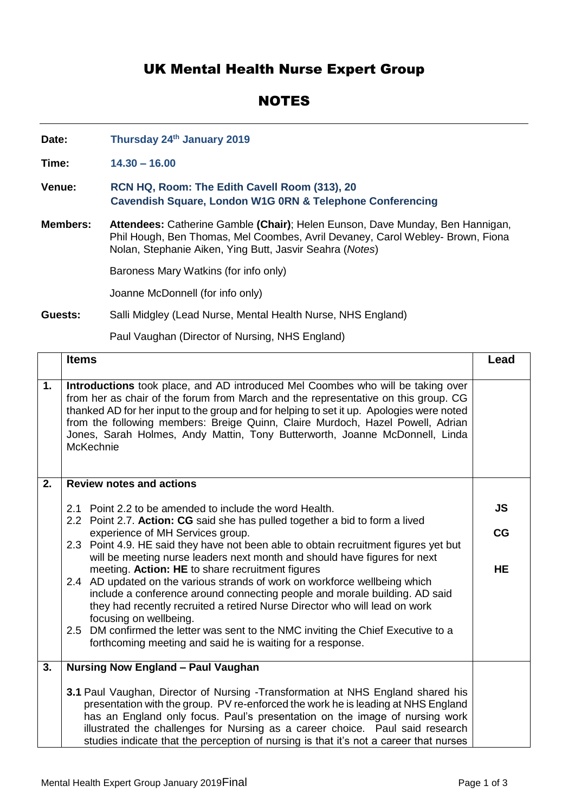## UK Mental Health Nurse Expert Group

## NOTES

**Date: Thursday 24 th January 2019**

**Time: 14.30 – 16.00**

- **Venue: RCN HQ, Room: The Edith Cavell Room (313), 20 Cavendish Square, London W1G 0RN & Telephone Conferencing**
- **Members: Attendees:** Catherine Gamble **(Chair)**; Helen Eunson, Dave Munday, Ben Hannigan, Phil Hough, Ben Thomas, Mel Coombes, Avril Devaney, Carol Webley- Brown, Fiona Nolan, Stephanie Aiken, Ying Butt, Jasvir Seahra (*Notes*)

Baroness Mary Watkins (for info only)

Joanne McDonnell (for info only)

## **Guests:** Salli Midgley (Lead Nurse, Mental Health Nurse, NHS England)

Paul Vaughan (Director of Nursing, NHS England)

|    | <b>Items</b>                                                                                                                                                                                                                                                                                                                                                                                                                                    | Lead |
|----|-------------------------------------------------------------------------------------------------------------------------------------------------------------------------------------------------------------------------------------------------------------------------------------------------------------------------------------------------------------------------------------------------------------------------------------------------|------|
| 1. | Introductions took place, and AD introduced Mel Coombes who will be taking over<br>from her as chair of the forum from March and the representative on this group. CG<br>thanked AD for her input to the group and for helping to set it up. Apologies were noted<br>from the following members: Breige Quinn, Claire Murdoch, Hazel Powell, Adrian<br>Jones, Sarah Holmes, Andy Mattin, Tony Butterworth, Joanne McDonnell, Linda<br>McKechnie |      |
| 2. | <b>Review notes and actions</b>                                                                                                                                                                                                                                                                                                                                                                                                                 |      |
|    | 2.1 Point 2.2 to be amended to include the word Health.                                                                                                                                                                                                                                                                                                                                                                                         | JS   |
|    | 2.2 Point 2.7. Action: CG said she has pulled together a bid to form a lived<br>experience of MH Services group.                                                                                                                                                                                                                                                                                                                                | CG   |
|    | 2.3 Point 4.9. HE said they have not been able to obtain recruitment figures yet but<br>will be meeting nurse leaders next month and should have figures for next                                                                                                                                                                                                                                                                               |      |
|    | meeting. Action: HE to share recruitment figures                                                                                                                                                                                                                                                                                                                                                                                                | HE   |
|    | 2.4 AD updated on the various strands of work on workforce wellbeing which<br>include a conference around connecting people and morale building. AD said<br>they had recently recruited a retired Nurse Director who will lead on work<br>focusing on wellbeing.                                                                                                                                                                                |      |
|    | 2.5 DM confirmed the letter was sent to the NMC inviting the Chief Executive to a                                                                                                                                                                                                                                                                                                                                                               |      |
|    | forthcoming meeting and said he is waiting for a response.                                                                                                                                                                                                                                                                                                                                                                                      |      |
| 3. | <b>Nursing Now England - Paul Vaughan</b>                                                                                                                                                                                                                                                                                                                                                                                                       |      |
|    | 3.1 Paul Vaughan, Director of Nursing -Transformation at NHS England shared his<br>presentation with the group. PV re-enforced the work he is leading at NHS England<br>has an England only focus. Paul's presentation on the image of nursing work<br>illustrated the challenges for Nursing as a career choice. Paul said research<br>studies indicate that the perception of nursing is that it's not a career that nurses                   |      |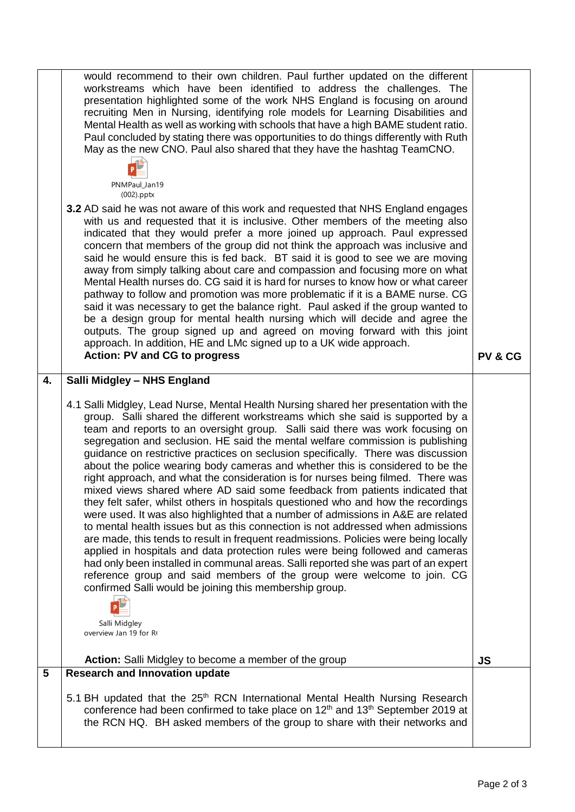|    | would recommend to their own children. Paul further updated on the different<br>workstreams which have been identified to address the challenges. The                                                                                                                                                                                                                                                                                                                                                                                                                                                                                                                                                                                                                                                                                                                                                                                                                                                                                                                                                                                                                                                                                                                                                                                                                                             |           |
|----|---------------------------------------------------------------------------------------------------------------------------------------------------------------------------------------------------------------------------------------------------------------------------------------------------------------------------------------------------------------------------------------------------------------------------------------------------------------------------------------------------------------------------------------------------------------------------------------------------------------------------------------------------------------------------------------------------------------------------------------------------------------------------------------------------------------------------------------------------------------------------------------------------------------------------------------------------------------------------------------------------------------------------------------------------------------------------------------------------------------------------------------------------------------------------------------------------------------------------------------------------------------------------------------------------------------------------------------------------------------------------------------------------|-----------|
|    | presentation highlighted some of the work NHS England is focusing on around<br>recruiting Men in Nursing, identifying role models for Learning Disabilities and<br>Mental Health as well as working with schools that have a high BAME student ratio.<br>Paul concluded by stating there was opportunities to do things differently with Ruth<br>May as the new CNO. Paul also shared that they have the hashtag TeamCNO.                                                                                                                                                                                                                                                                                                                                                                                                                                                                                                                                                                                                                                                                                                                                                                                                                                                                                                                                                                         |           |
|    | PNMPaul_Jan19<br>(002).pptx                                                                                                                                                                                                                                                                                                                                                                                                                                                                                                                                                                                                                                                                                                                                                                                                                                                                                                                                                                                                                                                                                                                                                                                                                                                                                                                                                                       |           |
|    | 3.2 AD said he was not aware of this work and requested that NHS England engages<br>with us and requested that it is inclusive. Other members of the meeting also<br>indicated that they would prefer a more joined up approach. Paul expressed<br>concern that members of the group did not think the approach was inclusive and<br>said he would ensure this is fed back. BT said it is good to see we are moving<br>away from simply talking about care and compassion and focusing more on what<br>Mental Health nurses do. CG said it is hard for nurses to know how or what career<br>pathway to follow and promotion was more problematic if it is a BAME nurse. CG<br>said it was necessary to get the balance right. Paul asked if the group wanted to<br>be a design group for mental health nursing which will decide and agree the<br>outputs. The group signed up and agreed on moving forward with this joint<br>approach. In addition, HE and LMc signed up to a UK wide approach.<br><b>Action: PV and CG to progress</b>                                                                                                                                                                                                                                                                                                                                                         | PV & CG   |
| 4. | Salli Midgley - NHS England                                                                                                                                                                                                                                                                                                                                                                                                                                                                                                                                                                                                                                                                                                                                                                                                                                                                                                                                                                                                                                                                                                                                                                                                                                                                                                                                                                       |           |
|    | 4.1 Salli Midgley, Lead Nurse, Mental Health Nursing shared her presentation with the<br>group. Salli shared the different workstreams which she said is supported by a<br>team and reports to an oversight group. Salli said there was work focusing on<br>segregation and seclusion. HE said the mental welfare commission is publishing<br>guidance on restrictive practices on seclusion specifically. There was discussion<br>about the police wearing body cameras and whether this is considered to be the<br>right approach, and what the consideration is for nurses being filmed. There was<br>mixed views shared where AD said some feedback from patients indicated that<br>they felt safer, whilst others in hospitals questioned who and how the recordings<br>were used. It was also highlighted that a number of admissions in A&E are related<br>to mental health issues but as this connection is not addressed when admissions<br>are made, this tends to result in frequent readmissions. Policies were being locally<br>applied in hospitals and data protection rules were being followed and cameras<br>had only been installed in communal areas. Salli reported she was part of an expert<br>reference group and said members of the group were welcome to join. CG<br>confirmed Salli would be joining this membership group.<br>Salli Midgley<br>overview Jan 19 for R |           |
|    | Action: Salli Midgley to become a member of the group                                                                                                                                                                                                                                                                                                                                                                                                                                                                                                                                                                                                                                                                                                                                                                                                                                                                                                                                                                                                                                                                                                                                                                                                                                                                                                                                             | <b>JS</b> |
| 5  | <b>Research and Innovation update</b>                                                                                                                                                                                                                                                                                                                                                                                                                                                                                                                                                                                                                                                                                                                                                                                                                                                                                                                                                                                                                                                                                                                                                                                                                                                                                                                                                             |           |
|    | 5.1 BH updated that the 25 <sup>th</sup> RCN International Mental Health Nursing Research<br>conference had been confirmed to take place on 12 <sup>th</sup> and 13 <sup>th</sup> September 2019 at<br>the RCN HQ. BH asked members of the group to share with their networks and                                                                                                                                                                                                                                                                                                                                                                                                                                                                                                                                                                                                                                                                                                                                                                                                                                                                                                                                                                                                                                                                                                                 |           |